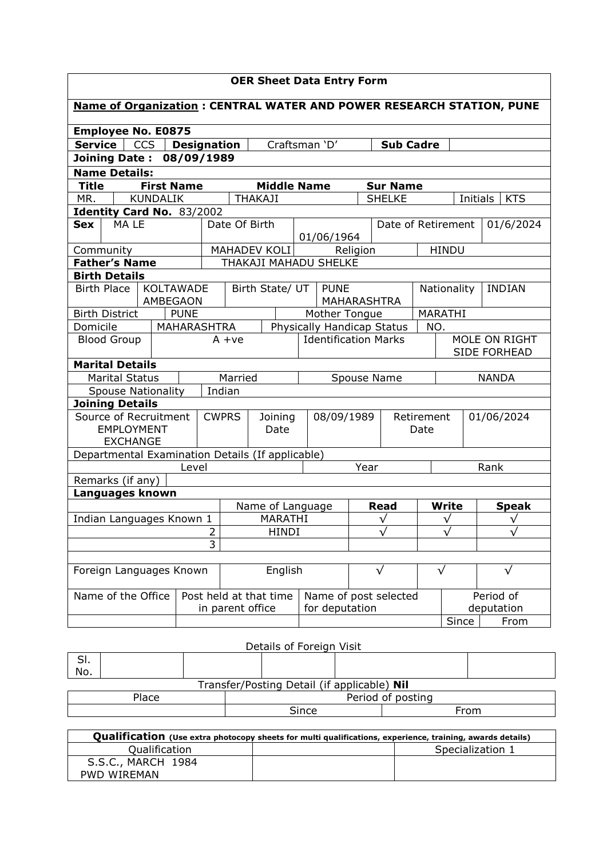| <b>OER Sheet Data Entry Form</b>                                                        |                                                    |                 |             |                                 |                            |                          |                             |                       |                                  |                    |                                      |              |            |
|-----------------------------------------------------------------------------------------|----------------------------------------------------|-----------------|-------------|---------------------------------|----------------------------|--------------------------|-----------------------------|-----------------------|----------------------------------|--------------------|--------------------------------------|--------------|------------|
| <b>Name of Organization: CENTRAL WATER AND POWER RESEARCH STATION, PUNE</b>             |                                                    |                 |             |                                 |                            |                          |                             |                       |                                  |                    |                                      |              |            |
| <b>Employee No. E0875</b>                                                               |                                                    |                 |             |                                 |                            |                          |                             |                       |                                  |                    |                                      |              |            |
| <b>Service</b><br><b>CCS</b><br><b>Designation</b><br>Craftsman 'D'<br><b>Sub Cadre</b> |                                                    |                 |             |                                 |                            |                          |                             |                       |                                  |                    |                                      |              |            |
| <b>Joining Date:</b><br>08/09/1989                                                      |                                                    |                 |             |                                 |                            |                          |                             |                       |                                  |                    |                                      |              |            |
| <b>Name Details:</b>                                                                    |                                                    |                 |             |                                 |                            |                          |                             |                       |                                  |                    |                                      |              |            |
| <b>First Name</b><br><b>Middle Name</b><br><b>Sur Name</b><br><b>Title</b>              |                                                    |                 |             |                                 |                            |                          |                             |                       |                                  |                    |                                      |              |            |
| MR.                                                                                     |                                                    | <b>KUNDALIK</b> |             |                                 |                            | <b>THAKAJI</b>           |                             |                       | <b>SHELKE</b>                    |                    |                                      | Initials     | <b>KTS</b> |
|                                                                                         | Identity Card No. 83/2002                          |                 |             |                                 |                            |                          |                             |                       |                                  |                    |                                      |              |            |
| <b>Sex</b>                                                                              | MA LE                                              |                 |             |                                 | Date Of Birth              |                          | 01/06/1964                  |                       |                                  | Date of Retirement |                                      | 01/6/2024    |            |
|                                                                                         | Community                                          |                 |             |                                 |                            | MAHADEV KOLI             |                             | Religion              |                                  |                    | <b>HINDU</b>                         |              |            |
|                                                                                         | <b>Father's Name</b>                               |                 |             |                                 |                            | THAKAJI MAHADU SHELKE    |                             |                       |                                  |                    |                                      |              |            |
|                                                                                         | <b>Birth Details</b>                               |                 |             |                                 |                            |                          |                             |                       |                                  |                    |                                      |              |            |
|                                                                                         | <b>Birth Place</b><br><b>KOLTAWADE</b><br>AMBEGAON |                 |             |                                 |                            | Birth State/ UT          | <b>PUNE</b><br>MAHARASHTRA  |                       |                                  |                    | <b>INDIAN</b><br>Nationality         |              |            |
|                                                                                         | <b>PUNE</b><br><b>Birth District</b>               |                 |             |                                 | Mother Tongue              |                          |                             |                       | <b>MARATHI</b>                   |                    |                                      |              |            |
| Domicile                                                                                |                                                    |                 | MAHARASHTRA |                                 | Physically Handicap Status |                          |                             |                       | NO.                              |                    |                                      |              |            |
|                                                                                         | <b>Blood Group</b>                                 |                 |             |                                 | $A + ve$                   |                          | <b>Identification Marks</b> |                       |                                  |                    | MOLE ON RIGHT<br><b>SIDE FORHEAD</b> |              |            |
|                                                                                         | <b>Marital Details</b>                             |                 |             |                                 |                            |                          |                             |                       |                                  |                    |                                      |              |            |
| <b>Marital Status</b>                                                                   |                                                    |                 |             | Married                         |                            | Spouse Name              |                             |                       | <b>NANDA</b>                     |                    |                                      |              |            |
| Indian<br><b>Spouse Nationality</b>                                                     |                                                    |                 |             |                                 |                            |                          |                             |                       |                                  |                    |                                      |              |            |
|                                                                                         | <b>Joining Details</b>                             |                 |             |                                 |                            |                          |                             |                       |                                  |                    |                                      |              |            |
| Source of Recruitment<br><b>EMPLOYMENT</b><br><b>EXCHANGE</b>                           |                                                    |                 |             | <b>CWPRS</b><br>Joining<br>Date |                            | 08/09/1989               |                             |                       | 01/06/2024<br>Retirement<br>Date |                    |                                      |              |            |
| Departmental Examination Details (If applicable)                                        |                                                    |                 |             |                                 |                            |                          |                             |                       |                                  |                    |                                      |              |            |
|                                                                                         |                                                    |                 | Level       |                                 |                            |                          |                             | Year                  |                                  |                    |                                      | Rank         |            |
|                                                                                         | Remarks (if any)                                   |                 |             |                                 |                            |                          |                             |                       |                                  |                    |                                      |              |            |
|                                                                                         | Languages known                                    |                 |             |                                 |                            |                          |                             |                       |                                  |                    |                                      |              |            |
|                                                                                         |                                                    |                 |             |                                 | Name of Language           |                          |                             | <b>Read</b>           |                                  | <b>Write</b>       |                                      | <b>Speak</b> |            |
|                                                                                         | Indian Languages Known 1                           |                 |             |                                 |                            | MARATHI                  |                             |                       |                                  |                    | V                                    |              |            |
|                                                                                         |                                                    |                 |             | 2                               |                            | <b>HINDI</b>             |                             |                       |                                  | $\sqrt{}$          |                                      |              |            |
| 3                                                                                       |                                                    |                 |             |                                 |                            |                          |                             |                       |                                  |                    |                                      |              |            |
| Foreign Languages Known                                                                 |                                                    |                 |             | English                         |                            |                          |                             |                       |                                  | $\sqrt{}$          |                                      | $\sqrt{}$    |            |
| Name of the Office                                                                      |                                                    |                 |             |                                 |                            | Post held at that time   |                             | Name of post selected |                                  |                    | Period of                            |              |            |
|                                                                                         |                                                    |                 |             | in parent office                |                            |                          | for deputation              |                       |                                  | deputation         |                                      |              |            |
|                                                                                         |                                                    |                 |             |                                 |                            |                          |                             |                       | Since                            |                    | From                                 |              |            |
|                                                                                         |                                                    |                 |             |                                 |                            | Details of Foreign Visit |                             |                       |                                  |                    |                                      |              |            |

| . ا ب                                       |                            |  |               |  |  |  |  |  |  |  |
|---------------------------------------------|----------------------------|--|---------------|--|--|--|--|--|--|--|
| No.                                         |                            |  |               |  |  |  |  |  |  |  |
| Transfer/Posting Detail (if applicable) Nil |                            |  |               |  |  |  |  |  |  |  |
|                                             | Period of posting<br>Place |  |               |  |  |  |  |  |  |  |
|                                             |                            |  | Since<br>From |  |  |  |  |  |  |  |

| Oualification (Use extra photocopy sheets for multi qualifications, experience, training, awards details) |  |                  |  |  |  |  |  |  |  |
|-----------------------------------------------------------------------------------------------------------|--|------------------|--|--|--|--|--|--|--|
| Qualification                                                                                             |  | Specialization 1 |  |  |  |  |  |  |  |
| S.S.C., MARCH 1984                                                                                        |  |                  |  |  |  |  |  |  |  |
| PWD WIREMAN                                                                                               |  |                  |  |  |  |  |  |  |  |